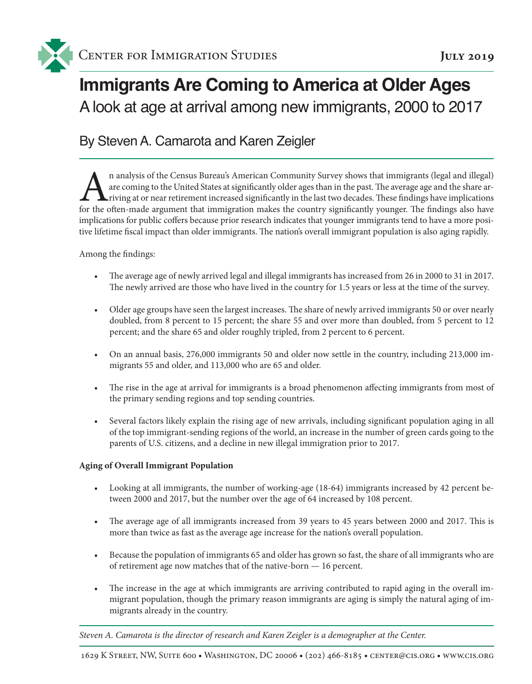

# **Immigrants Are Coming to America at Older Ages**  A look at age at arrival among new immigrants, 2000 to 2017

## By Steven A. Camarota and Karen Zeigler

In analysis of the Census Bureau's American Community Survey shows that immigrants (legal and illegal) are coming to the United States at significantly older ages than in the past. The average age and the share arriving at are coming to the United States at significantly older ages than in the past. The average age and the share ar-**L** riving at or near retirement increased significantly in the last two decades. These findings have implications for the often-made argument that immigration makes the country significantly younger. The findings also have implications for public coffers because prior research indicates that younger immigrants tend to have a more positive lifetime fiscal impact than older immigrants. The nation's overall immigrant population is also aging rapidly.

#### Among the findings:

- • The average age of newly arrived legal and illegal immigrants has increased from 26 in 2000 to 31 in 2017. The newly arrived are those who have lived in the country for 1.5 years or less at the time of the survey.
- Older age groups have seen the largest increases. The share of newly arrived immigrants 50 or over nearly doubled, from 8 percent to 15 percent; the share 55 and over more than doubled, from 5 percent to 12 percent; and the share 65 and older roughly tripled, from 2 percent to 6 percent.
- On an annual basis, 276,000 immigrants 50 and older now settle in the country, including 213,000 immigrants 55 and older, and 113,000 who are 65 and older.
- The rise in the age at arrival for immigrants is a broad phenomenon affecting immigrants from most of the primary sending regions and top sending countries.
- • Several factors likely explain the rising age of new arrivals, including significant population aging in all of the top immigrant-sending regions of the world, an increase in the number of green cards going to the parents of U.S. citizens, and a decline in new illegal immigration prior to 2017.

#### **Aging of Overall Immigrant Population**

- Looking at all immigrants, the number of working-age (18-64) immigrants increased by 42 percent between 2000 and 2017, but the number over the age of 64 increased by 108 percent.
- The average age of all immigrants increased from 39 years to 45 years between 2000 and 2017. This is more than twice as fast as the average age increase for the nation's overall population.
- • Because the population of immigrants 65 and older has grown so fast, the share of all immigrants who are of retirement age now matches that of the native-born — 16 percent.
- The increase in the age at which immigrants are arriving contributed to rapid aging in the overall immigrant population, though the primary reason immigrants are aging is simply the natural aging of immigrants already in the country.

*Steven A. Camarota is the director of research and Karen Zeigler is a demographer at the Center.*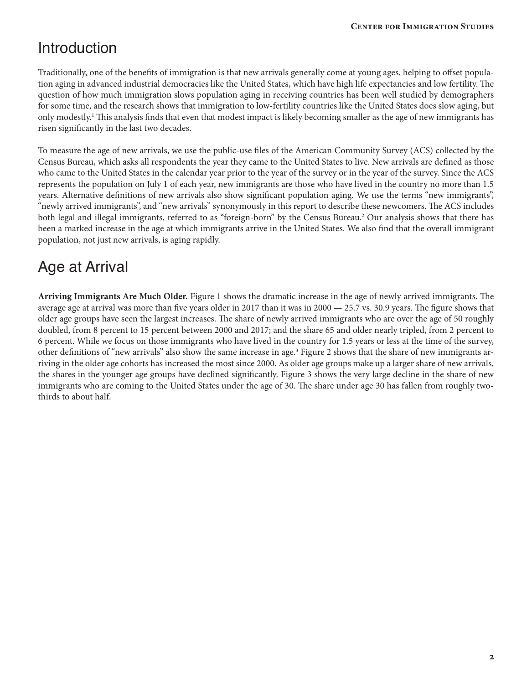## Introduction

Traditionally, one of the benefits of immigration is that new arrivals generally come at young ages, helping to offset population aging in advanced industrial democracies like the United States, which have high life expectancies and low fertility. The question of how much immigration slows population aging in receiving countries has been well studied by demographers for some time, and the research shows that immigration to low-fertility countries like the United States does slow aging, but only modestly.<sup>1</sup> This analysis finds that even that modest impact is likely becoming smaller as the age of new immigrants has risen significantly in the last two decades.

To measure the age of new arrivals, we use the public-use files of the American Community Survey (ACS) collected by the Census Bureau, which asks all respondents the year they came to the United States to live. New arrivals are defined as those who came to the United States in the calendar year prior to the year of the survey or in the year of the survey. Since the ACS represents the population on July 1 of each year, new immigrants are those who have lived in the country no more than 1.5 years. Alternative definitions of new arrivals also show significant population aging. We use the terms "new immigrants", "newly arrived immigrants", and "new arrivals" synonymously in this report to describe these newcomers. The ACS includes both legal and illegal immigrants, referred to as "foreign-born" by the Census Bureau.<sup>2</sup> Our analysis shows that there has been a marked increase in the age at which immigrants arrive in the United States. We also find that the overall immigrant population, not just new arrivals, is aging rapidly.

## Age at Arrival

**Arriving Immigrants Are Much Older.** Figure 1 shows the dramatic increase in the age of newly arrived immigrants. The average age at arrival was more than five years older in 2017 than it was in 2000 — 25.7 vs. 30.9 years. The figure shows that older age groups have seen the largest increases. The share of newly arrived immigrants who are over the age of 50 roughly doubled, from 8 percent to 15 percent between 2000 and 2017; and the share 65 and older nearly tripled, from 2 percent to 6 percent. While we focus on those immigrants who have lived in the country for 1.5 years or less at the time of the survey, other definitions of "new arrivals" also show the same increase in age.<sup>3</sup> Figure 2 shows that the share of new immigrants arriving in the older age cohorts has increased the most since 2000. As older age groups make up a larger share of new arrivals, the shares in the younger age groups have declined significantly. Figure 3 shows the very large decline in the share of new immigrants who are coming to the United States under the age of 30. The share under age 30 has fallen from roughly twothirds to about half.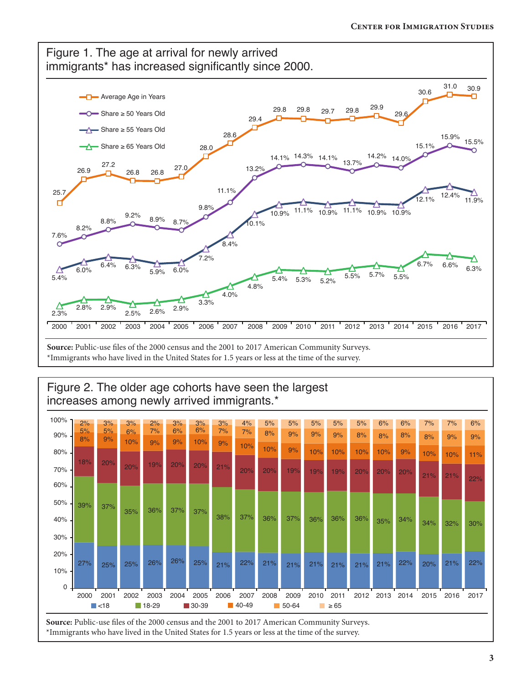

\*Immigrants who have lived in the United States for 1.5 years or less at the time of the survey.



\*Immigrants who have lived in the United States for 1.5 years or less at the time of the survey.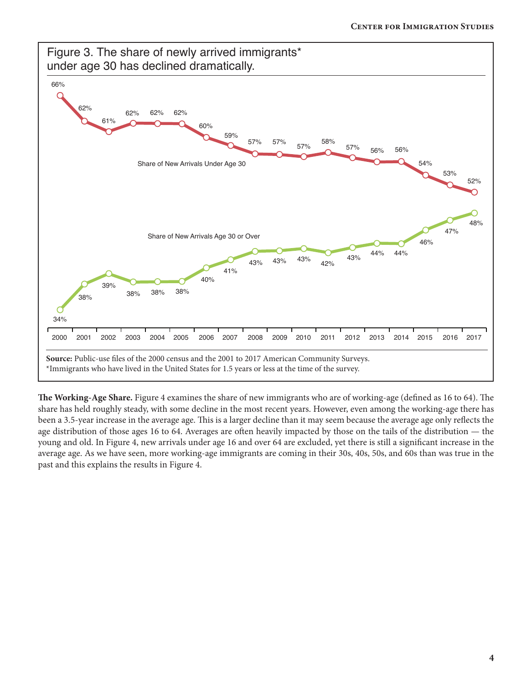

**The Working-Age Share.** Figure 4 examines the share of new immigrants who are of working-age (defined as 16 to 64). The share has held roughly steady, with some decline in the most recent years. However, even among the working-age there has been a 3.5-year increase in the average age. This is a larger decline than it may seem because the average age only reflects the age distribution of those ages 16 to 64. Averages are often heavily impacted by those on the tails of the distribution — the young and old. In Figure 4, new arrivals under age 16 and over 64 are excluded, yet there is still a significant increase in the average age. As we have seen, more working-age immigrants are coming in their 30s, 40s, 50s, and 60s than was true in the past and this explains the results in Figure 4.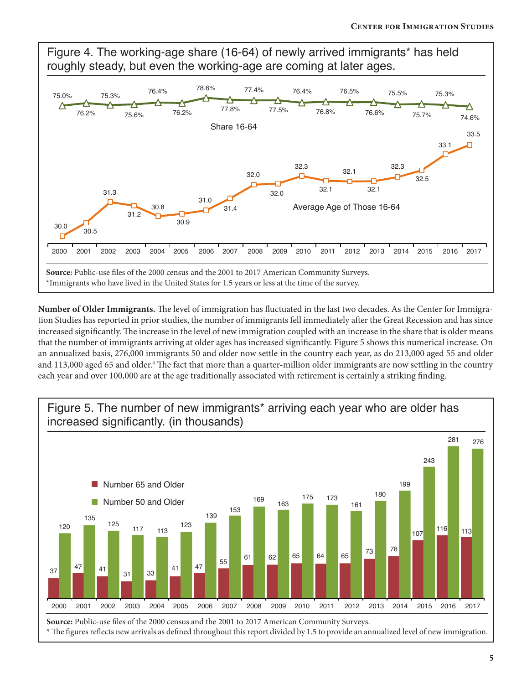

**Number of Older Immigrants.** The level of immigration has fluctuated in the last two decades. As the Center for Immigration Studies has reported in prior studies, the number of immigrants fell immediately after the Great Recession and has since increased significantly. The increase in the level of new immigration coupled with an increase in the share that is older means that the number of immigrants arriving at older ages has increased significantly. Figure 5 shows this numerical increase. On an annualized basis, 276,000 immigrants 50 and older now settle in the country each year, as do 213,000 aged 55 and older and 113,000 aged 65 and older.<sup>4</sup> The fact that more than a quarter-million older immigrants are now settling in the country each year and over 100,000 are at the age traditionally associated with retirement is certainly a striking finding.



**5**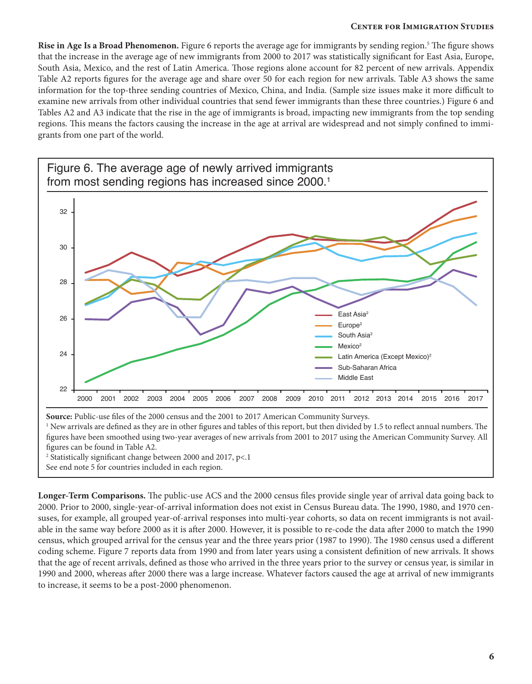**Rise in Age Is a Broad Phenomenon.** Figure 6 reports the average age for immigrants by sending region.<sup>5</sup> The figure shows that the increase in the average age of new immigrants from 2000 to 2017 was statistically significant for East Asia, Europe, South Asia, Mexico, and the rest of Latin America. Those regions alone account for 82 percent of new arrivals. Appendix Table A2 reports figures for the average age and share over 50 for each region for new arrivals. Table A3 shows the same information for the top-three sending countries of Mexico, China, and India. (Sample size issues make it more difficult to examine new arrivals from other individual countries that send fewer immigrants than these three countries.) Figure 6 and Tables A2 and A3 indicate that the rise in the age of immigrants is broad, impacting new immigrants from the top sending regions. This means the factors causing the increase in the age at arrival are widespread and not simply confined to immigrants from one part of the world.



figures can be found in Table A2.

<sup>2</sup> Statistically significant change between 2000 and 2017, p<.1

See end note 5 for countries included in each region. 

**Longer-Term Comparisons.** The public-use ACS and the 2000 census files provide single year of arrival data going back to 2000. Prior to 2000, single-year-of-arrival information does not exist in Census Bureau data. The 1990, 1980, and 1970 censuses, for example, all grouped year-of-arrival responses into multi-year cohorts, so data on recent immigrants is not available in the same way before 2000 as it is after 2000. However, it is possible to re-code the data after 2000 to match the 1990 census, which grouped arrival for the census year and the three years prior (1987 to 1990). The 1980 census used a different coding scheme. Figure 7 reports data from 1990 and from later years using a consistent definition of new arrivals. It shows that the age of recent arrivals, defined as those who arrived in the three years prior to the survey or census year, is similar in 1990 and 2000, whereas after 2000 there was a large increase. Whatever factors caused the age at arrival of new immigrants to increase, it seems to be a post-2000 phenomenon.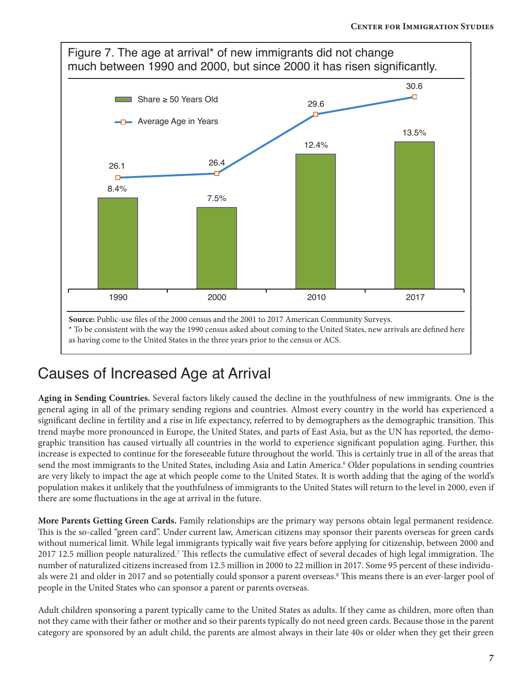

## Causes of Increased Age at Arrival

**Aging in Sending Countries.** Several factors likely caused the decline in the youthfulness of new immigrants. One is the general aging in all of the primary sending regions and countries. Almost every country in the world has experienced a significant decline in fertility and a rise in life expectancy, referred to by demographers as the demographic transition. This trend maybe more pronounced in Europe, the United States, and parts of East Asia, but as the UN has reported, the demographic transition has caused virtually all countries in the world to experience significant population aging. Further, this increase is expected to continue for the foreseeable future throughout the world. This is certainly true in all of the areas that send the most immigrants to the United States, including Asia and Latin America.<sup>6</sup> Older populations in sending countries are very likely to impact the age at which people come to the United States. It is worth adding that the aging of the world's population makes it unlikely that the youthfulness of immigrants to the United States will return to the level in 2000, even if there are some fluctuations in the age at arrival in the future.

**More Parents Getting Green Cards.** Family relationships are the primary way persons obtain legal permanent residence. This is the so-called "green card". Under current law, American citizens may sponsor their parents overseas for green cards without numerical limit. While legal immigrants typically wait five years before applying for citizenship, between 2000 and 2017 12.5 million people naturalized.7 This reflects the cumulative effect of several decades of high legal immigration. The number of naturalized citizens increased from 12.5 million in 2000 to 22 million in 2017. Some 95 percent of these individuals were 21 and older in 2017 and so potentially could sponsor a parent overseas.<sup>8</sup> This means there is an ever-larger pool of people in the United States who can sponsor a parent or parents overseas.

Adult children sponsoring a parent typically came to the United States as adults. If they came as children, more often than not they came with their father or mother and so their parents typically do not need green cards. Because those in the parent category are sponsored by an adult child, the parents are almost always in their late 40s or older when they get their green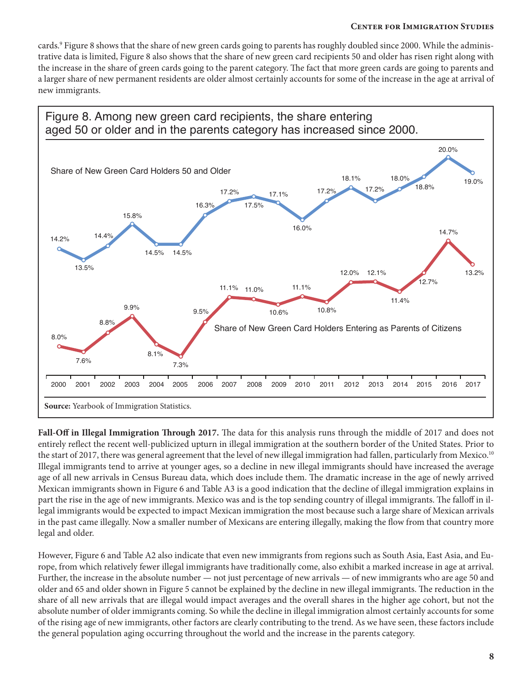cards.<sup>9</sup> Figure 8 shows that the share of new green cards going to parents has roughly doubled since 2000. While the administrative data is limited, Figure 8 also shows that the share of new green card recipients 50 and older has risen right along with the increase in the share of green cards going to the parent category. The fact that more green cards are going to parents and a larger share of new permanent residents are older almost certainly accounts for some of the increase in the age at arrival of new immigrants.



**Fall-Off in Illegal Immigration Through 2017.** The data for this analysis runs through the middle of 2017 and does not entirely reflect the recent well-publicized upturn in illegal immigration at the southern border of the United States. Prior to the start of 2017, there was general agreement that the level of new illegal immigration had fallen, particularly from Mexico.<sup>10</sup> Illegal immigrants tend to arrive at younger ages, so a decline in new illegal immigrants should have increased the average age of all new arrivals in Census Bureau data, which does include them. The dramatic increase in the age of newly arrived Mexican immigrants shown in Figure 6 and Table A3 is a good indication that the decline of illegal immigration explains in part the rise in the age of new immigrants. Mexico was and is the top sending country of illegal immigrants. The falloff in illegal immigrants would be expected to impact Mexican immigration the most because such a large share of Mexican arrivals in the past came illegally. Now a smaller number of Mexicans are entering illegally, making the flow from that country more legal and older.

However, Figure 6 and Table A2 also indicate that even new immigrants from regions such as South Asia, East Asia, and Europe, from which relatively fewer illegal immigrants have traditionally come, also exhibit a marked increase in age at arrival. Further, the increase in the absolute number — not just percentage of new arrivals — of new immigrants who are age 50 and older and 65 and older shown in Figure 5 cannot be explained by the decline in new illegal immigrants. The reduction in the share of all new arrivals that are illegal would impact averages and the overall shares in the higher age cohort, but not the absolute number of older immigrants coming. So while the decline in illegal immigration almost certainly accounts for some of the rising age of new immigrants, other factors are clearly contributing to the trend. As we have seen, these factors include the general population aging occurring throughout the world and the increase in the parents category.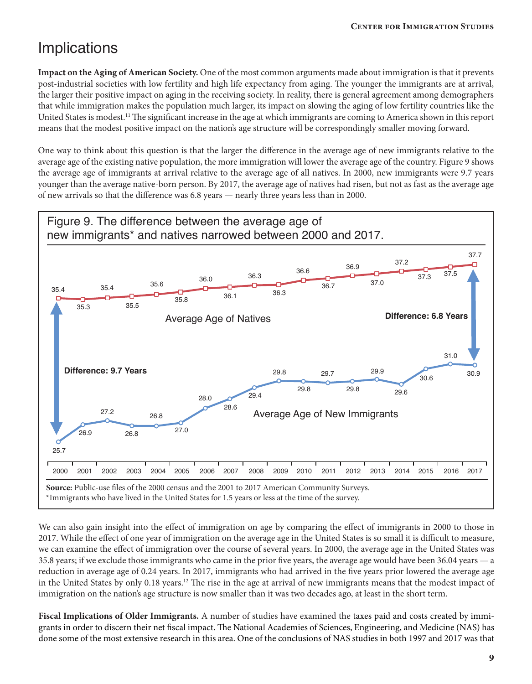## Implications

**Impact on the Aging of American Society.** One of the most common arguments made about immigration is that it prevents post-industrial societies with low fertility and high life expectancy from aging. The younger the immigrants are at arrival, the larger their positive impact on aging in the receiving society. In reality, there is general agreement among demographers that while immigration makes the population much larger, its impact on slowing the aging of low fertility countries like the United States is modest.<sup>11</sup> The significant increase in the age at which immigrants are coming to America shown in this report means that the modest positive impact on the nation's age structure will be correspondingly smaller moving forward.

One way to think about this question is that the larger the difference in the average age of new immigrants relative to the average age of the existing native population, the more immigration will lower the average age of the country. Figure 9 shows the average age of immigrants at arrival relative to the average age of all natives. In 2000, new immigrants were 9.7 years younger than the average native-born person. By 2017, the average age of natives had risen, but not as fast as the average age of new arrivals so that the difference was 6.8 years — nearly three years less than in 2000.



We can also gain insight into the effect of immigration on age by comparing the effect of immigrants in 2000 to those in 2017. While the effect of one year of immigration on the average age in the United States is so small it is difficult to measure, we can examine the effect of immigration over the course of several years. In 2000, the average age in the United States was 35.8 years; if we exclude those immigrants who came in the prior five years, the average age would have been 36.04 years — a reduction in average age of 0.24 years. In 2017, immigrants who had arrived in the five years prior lowered the average age in the United States by only 0.18 years.<sup>12</sup> The rise in the age at arrival of new immigrants means that the modest impact of immigration on the nation's age structure is now smaller than it was two decades ago, at least in the short term.

**Fiscal Implications of Older Immigrants.** A number of studies have examined the taxes paid and costs created by immigrants in order to discern their net fiscal impact. The National Academies of Sciences, Engineering, and Medicine (NAS) has done some of the most extensive research in this area. One of the conclusions of NAS studies in both 1997 and 2017 was that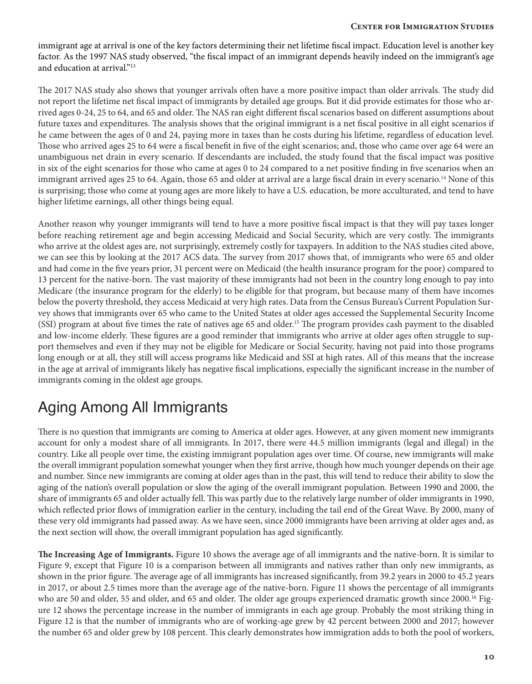immigrant age at arrival is one of the key factors determining their net lifetime fiscal impact. Education level is another key factor. As the 1997 NAS study observed, "the fiscal impact of an immigrant depends heavily indeed on the immigrant's age and education at arrival."<sup>13</sup>

The 2017 NAS study also shows that younger arrivals often have a more positive impact than older arrivals. The study did not report the lifetime net fiscal impact of immigrants by detailed age groups. But it did provide estimates for those who arrived ages 0-24, 25 to 64, and 65 and older. The NAS ran eight different fiscal scenarios based on different assumptions about future taxes and expenditures. The analysis shows that the original immigrant is a net fiscal positive in all eight scenarios if he came between the ages of 0 and 24, paying more in taxes than he costs during his lifetime, regardless of education level. Those who arrived ages 25 to 64 were a fiscal benefit in five of the eight scenarios; and, those who came over age 64 were an unambiguous net drain in every scenario. If descendants are included, the study found that the fiscal impact was positive in six of the eight scenarios for those who came at ages 0 to 24 compared to a net positive finding in five scenarios when an immigrant arrived ages 25 to 64. Again, those 65 and older at arrival are a large fiscal drain in every scenario.<sup>14</sup> None of this is surprising; those who come at young ages are more likely to have a U.S. education, be more acculturated, and tend to have higher lifetime earnings, all other things being equal.

Another reason why younger immigrants will tend to have a more positive fiscal impact is that they will pay taxes longer before reaching retirement age and begin accessing Medicaid and Social Security, which are very costly. The immigrants who arrive at the oldest ages are, not surprisingly, extremely costly for taxpayers. In addition to the NAS studies cited above, we can see this by looking at the 2017 ACS data. The survey from 2017 shows that, of immigrants who were 65 and older and had come in the five years prior, 31 percent were on Medicaid (the health insurance program for the poor) compared to 13 percent for the native-born. The vast majority of these immigrants had not been in the country long enough to pay into Medicare (the insurance program for the elderly) to be eligible for that program, but because many of them have incomes below the poverty threshold, they access Medicaid at very high rates. Data from the Census Bureau's Current Population Survey shows that immigrants over 65 who came to the United States at older ages accessed the Supplemental Security Income (SSI) program at about five times the rate of natives age 65 and older.15 The program provides cash payment to the disabled and low-income elderly. These figures are a good reminder that immigrants who arrive at older ages often struggle to support themselves and even if they may not be eligible for Medicare or Social Security, having not paid into those programs long enough or at all, they still will access programs like Medicaid and SSI at high rates. All of this means that the increase in the age at arrival of immigrants likely has negative fiscal implications, especially the significant increase in the number of immigrants coming in the oldest age groups.

## Aging Among All Immigrants

There is no question that immigrants are coming to America at older ages. However, at any given moment new immigrants account for only a modest share of all immigrants. In 2017, there were 44.5 million immigrants (legal and illegal) in the country. Like all people over time, the existing immigrant population ages over time. Of course, new immigrants will make the overall immigrant population somewhat younger when they first arrive, though how much younger depends on their age and number. Since new immigrants are coming at older ages than in the past, this will tend to reduce their ability to slow the aging of the nation's overall population or slow the aging of the overall immigrant population. Between 1990 and 2000, the share of immigrants 65 and older actually fell. This was partly due to the relatively large number of older immigrants in 1990, which reflected prior flows of immigration earlier in the century, including the tail end of the Great Wave. By 2000, many of these very old immigrants had passed away. As we have seen, since 2000 immigrants have been arriving at older ages and, as the next section will show, the overall immigrant population has aged significantly.

**The Increasing Age of Immigrants.** Figure 10 shows the average age of all immigrants and the native-born. It is similar to Figure 9, except that Figure 10 is a comparison between all immigrants and natives rather than only new immigrants, as shown in the prior figure. The average age of all immigrants has increased significantly, from 39.2 years in 2000 to 45.2 years in 2017, or about 2.5 times more than the average age of the native-born. Figure 11 shows the percentage of all immigrants who are 50 and older, 55 and older, and 65 and older. The older age groups experienced dramatic growth since 2000.<sup>16</sup> Figure 12 shows the percentage increase in the number of immigrants in each age group. Probably the most striking thing in Figure 12 is that the number of immigrants who are of working-age grew by 42 percent between 2000 and 2017; however the number 65 and older grew by 108 percent. This clearly demonstrates how immigration adds to both the pool of workers,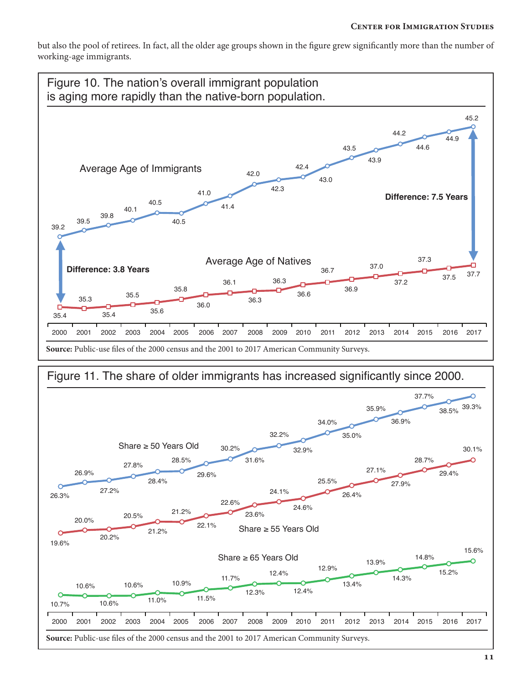but also the pool of retirees. In fact, all the older age groups shown in the figure grew significantly more than the number of working-age immigrants.



### Figure 11. The share of older immigrants has increased significantly since 2000.

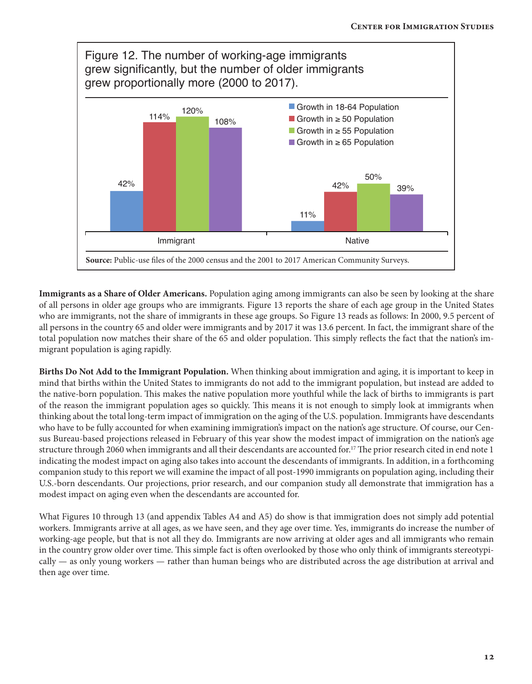

**Immigrants as a Share of Older Americans.** Population aging among immigrants can also be seen by looking at the share of all persons in older age groups who are immigrants. Figure 13 reports the share of each age group in the United States who are immigrants, not the share of immigrants in these age groups. So Figure 13 reads as follows: In 2000, 9.5 percent of all persons in the country 65 and older were immigrants and by 2017 it was 13.6 percent. In fact, the immigrant share of the total population now matches their share of the 65 and older population. This simply reflects the fact that the nation's immigrant population is aging rapidly.

**Births Do Not Add to the Immigrant Population.** When thinking about immigration and aging, it is important to keep in mind that births within the United States to immigrants do not add to the immigrant population, but instead are added to the native-born population. This makes the native population more youthful while the lack of births to immigrants is part of the reason the immigrant population ages so quickly. This means it is not enough to simply look at immigrants when thinking about the total long-term impact of immigration on the aging of the U.S. population. Immigrants have descendants who have to be fully accounted for when examining immigration's impact on the nation's age structure. Of course, our Census Bureau-based projections released in February of this year show the modest impact of immigration on the nation's age structure through 2060 when immigrants and all their descendants are accounted for.<sup>17</sup> The prior research cited in end note 1 indicating the modest impact on aging also takes into account the descendants of immigrants. In addition, in a forthcoming companion study to this report we will examine the impact of all post-1990 immigrants on population aging, including their U.S.-born descendants. Our projections, prior research, and our companion study all demonstrate that immigration has a modest impact on aging even when the descendants are accounted for.

What Figures 10 through 13 (and appendix Tables A4 and A5) do show is that immigration does not simply add potential workers. Immigrants arrive at all ages, as we have seen, and they age over time. Yes, immigrants do increase the number of working-age people, but that is not all they do. Immigrants are now arriving at older ages and all immigrants who remain in the country grow older over time. This simple fact is often overlooked by those who only think of immigrants stereotypically — as only young workers — rather than human beings who are distributed across the age distribution at arrival and then age over time.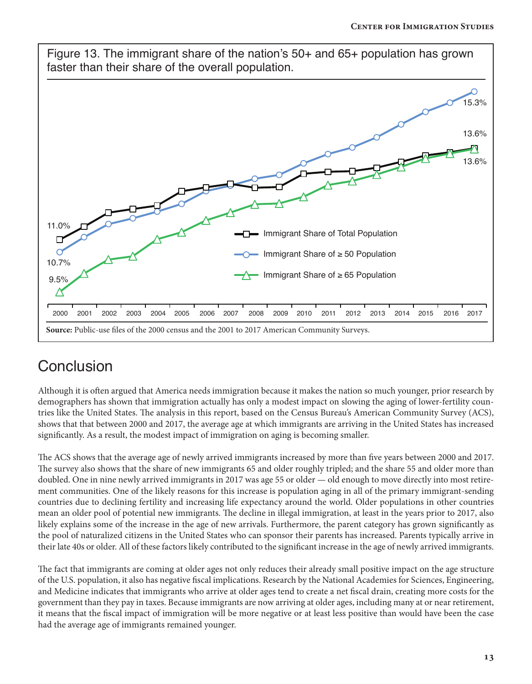

## **Conclusion**

Although it is often argued that America needs immigration because it makes the nation so much younger, prior research by demographers has shown that immigration actually has only a modest impact on slowing the aging of lower-fertility countries like the United States. The analysis in this report, based on the Census Bureau's American Community Survey (ACS), shows that that between 2000 and 2017, the average age at which immigrants are arriving in the United States has increased significantly. As a result, the modest impact of immigration on aging is becoming smaller.

The ACS shows that the average age of newly arrived immigrants increased by more than five years between 2000 and 2017. The survey also shows that the share of new immigrants 65 and older roughly tripled; and the share 55 and older more than doubled. One in nine newly arrived immigrants in 2017 was age 55 or older — old enough to move directly into most retirement communities. One of the likely reasons for this increase is population aging in all of the primary immigrant-sending countries due to declining fertility and increasing life expectancy around the world. Older populations in other countries mean an older pool of potential new immigrants. The decline in illegal immigration, at least in the years prior to 2017, also likely explains some of the increase in the age of new arrivals. Furthermore, the parent category has grown significantly as the pool of naturalized citizens in the United States who can sponsor their parents has increased. Parents typically arrive in their late 40s or older. All of these factors likely contributed to the significant increase in the age of newly arrived immigrants.

The fact that immigrants are coming at older ages not only reduces their already small positive impact on the age structure of the U.S. population, it also has negative fiscal implications. Research by the National Academies for Sciences, Engineering, and Medicine indicates that immigrants who arrive at older ages tend to create a net fiscal drain, creating more costs for the government than they pay in taxes. Because immigrants are now arriving at older ages, including many at or near retirement, it means that the fiscal impact of immigration will be more negative or at least less positive than would have been the case had the average age of immigrants remained younger.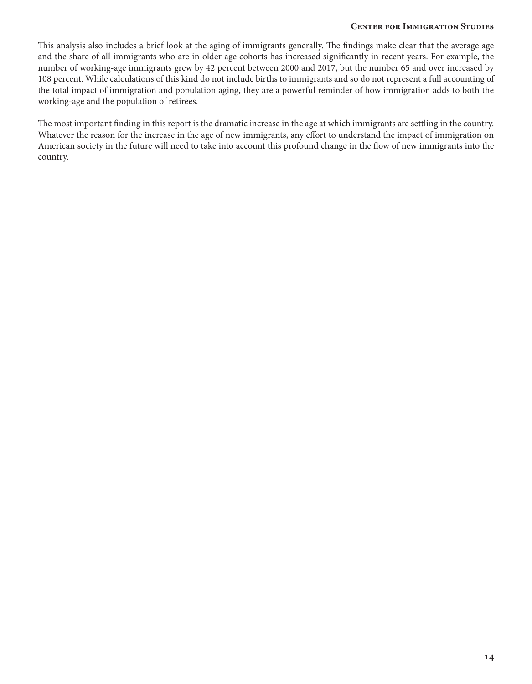This analysis also includes a brief look at the aging of immigrants generally. The findings make clear that the average age and the share of all immigrants who are in older age cohorts has increased significantly in recent years. For example, the number of working-age immigrants grew by 42 percent between 2000 and 2017, but the number 65 and over increased by 108 percent. While calculations of this kind do not include births to immigrants and so do not represent a full accounting of the total impact of immigration and population aging, they are a powerful reminder of how immigration adds to both the working-age and the population of retirees.

The most important finding in this report is the dramatic increase in the age at which immigrants are settling in the country. Whatever the reason for the increase in the age of new immigrants, any effort to understand the impact of immigration on American society in the future will need to take into account this profound change in the flow of new immigrants into the country.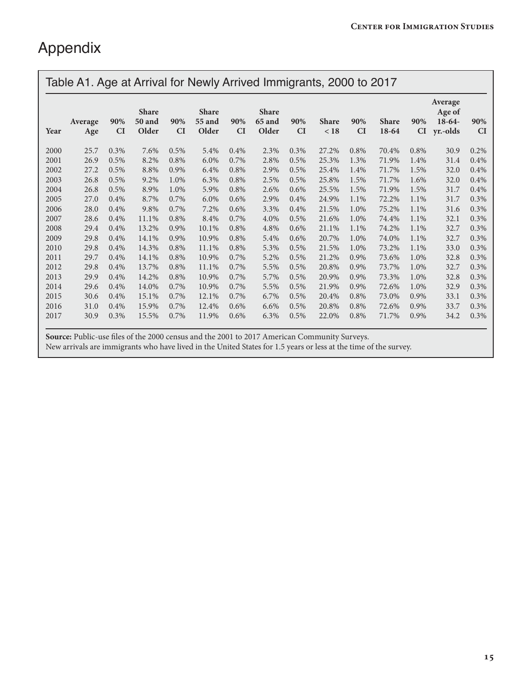# Appendix

|      | Table A1. Age at Arrival for Newly Arrived Immigrants, 2000 to 2017 |           |                                        |           |                          |           |                                 |                  |                      |                  |                       |           |                                           |                  |
|------|---------------------------------------------------------------------|-----------|----------------------------------------|-----------|--------------------------|-----------|---------------------------------|------------------|----------------------|------------------|-----------------------|-----------|-------------------------------------------|------------------|
| Year | Average<br>Age                                                      | 90%<br>CI | <b>Share</b><br><b>50 and</b><br>Older | 90%<br>CI | Share<br>55 and<br>Older | 90%<br>CI | <b>Share</b><br>65 and<br>Older | 90%<br><b>CI</b> | <b>Share</b><br>< 18 | 90%<br><b>CI</b> | <b>Share</b><br>18-64 | 90%<br>CI | Average<br>Age of<br>$18-64-$<br>yr.-olds | 90%<br><b>CI</b> |
| 2000 | 25.7                                                                | 0.3%      | 7.6%                                   | 0.5%      | 5.4%                     | 0.4%      | 2.3%                            | 0.3%             | 27.2%                | 0.8%             | 70.4%                 | 0.8%      | 30.9                                      | 0.2%             |
| 2001 | 26.9                                                                | 0.5%      | 8.2%                                   | 0.8%      | 6.0%                     | 0.7%      | 2.8%                            | 0.5%             | 25.3%                | 1.3%             | 71.9%                 | 1.4%      | 31.4                                      | 0.4%             |
| 2002 | 27.2                                                                | 0.5%      | 8.8%                                   | 0.9%      | 6.4%                     | 0.8%      | 2.9%                            | 0.5%             | 25.4%                | 1.4%             | 71.7%                 | 1.5%      | 32.0                                      | 0.4%             |
| 2003 | 26.8                                                                | 0.5%      | 9.2%                                   | 1.0%      | 6.3%                     | 0.8%      | 2.5%                            | 0.5%             | 25.8%                | 1.5%             | 71.7%                 | 1.6%      | 32.0                                      | 0.4%             |
| 2004 | 26.8                                                                | 0.5%      | 8.9%                                   | 1.0%      | 5.9%                     | 0.8%      | 2.6%                            | 0.6%             | 25.5%                | 1.5%             | 71.9%                 | 1.5%      | 31.7                                      | 0.4%             |
| 2005 | 27.0                                                                | 0.4%      | 8.7%                                   | 0.7%      | $6.0\%$                  | 0.6%      | 2.9%                            | 0.4%             | 24.9%                | 1.1%             | 72.2%                 | 1.1%      | 31.7                                      | 0.3%             |
| 2006 | 28.0                                                                | 0.4%      | 9.8%                                   | 0.7%      | 7.2%                     | 0.6%      | 3.3%                            | 0.4%             | 21.5%                | 1.0%             | 75.2%                 | 1.1%      | 31.6                                      | 0.3%             |
| 2007 | 28.6                                                                | 0.4%      | 11.1%                                  | 0.8%      | 8.4%                     | 0.7%      | 4.0%                            | 0.5%             | 21.6%                | 1.0%             | 74.4%                 | 1.1%      | 32.1                                      | 0.3%             |
| 2008 | 29.4                                                                | 0.4%      | 13.2%                                  | 0.9%      | 10.1%                    | 0.8%      | 4.8%                            | 0.6%             | 21.1%                | 1.1%             | 74.2%                 | 1.1%      | 32.7                                      | 0.3%             |
| 2009 | 29.8                                                                | 0.4%      | 14.1%                                  | 0.9%      | 10.9%                    | 0.8%      | 5.4%                            | 0.6%             | 20.7%                | 1.0%             | 74.0%                 | 1.1%      | 32.7                                      | 0.3%             |
| 2010 | 29.8                                                                | 0.4%      | 14.3%                                  | 0.8%      | 11.1%                    | 0.8%      | 5.3%                            | 0.5%             | 21.5%                | 1.0%             | 73.2%                 | 1.1%      | 33.0                                      | 0.3%             |
| 2011 | 29.7                                                                | 0.4%      | 14.1%                                  | 0.8%      | 10.9%                    | 0.7%      | 5.2%                            | 0.5%             | 21.2%                | 0.9%             | 73.6%                 | 1.0%      | 32.8                                      | 0.3%             |
| 2012 | 29.8                                                                | 0.4%      | 13.7%                                  | 0.8%      | 11.1%                    | 0.7%      | 5.5%                            | 0.5%             | 20.8%                | 0.9%             | 73.7%                 | 1.0%      | 32.7                                      | 0.3%             |
| 2013 | 29.9                                                                | 0.4%      | 14.2%                                  | 0.8%      | 10.9%                    | 0.7%      | 5.7%                            | 0.5%             | 20.9%                | 0.9%             | 73.3%                 | 1.0%      | 32.8                                      | 0.3%             |
| 2014 | 29.6                                                                | 0.4%      | 14.0%                                  | 0.7%      | 10.9%                    | 0.7%      | 5.5%                            | 0.5%             | 21.9%                | 0.9%             | 72.6%                 | 1.0%      | 32.9                                      | 0.3%             |
| 2015 | 30.6                                                                | 0.4%      | 15.1%                                  | 0.7%      | 12.1%                    | 0.7%      | 6.7%                            | 0.5%             | 20.4%                | 0.8%             | 73.0%                 | 0.9%      | 33.1                                      | 0.3%             |
| 2016 | 31.0                                                                | 0.4%      | 15.9%                                  | 0.7%      | 12.4%                    | 0.6%      | 6.6%                            | 0.5%             | 20.8%                | 0.8%             | 72.6%                 | 0.9%      | 33.7                                      | 0.3%             |
| 2017 | 30.9                                                                | 0.3%      | 15.5%                                  | 0.7%      | 11.9%                    | 0.6%      | 6.3%                            | 0.5%             | 22.0%                | 0.8%             | 71.7%                 | 0.9%      | 34.2                                      | 0.3%             |

**Source:** Public-use files of the 2000 census and the 2001 to 2017 American Community Surveys. New arrivals are immigrants who have lived in the United States for 1.5 years or less at the time of the survey.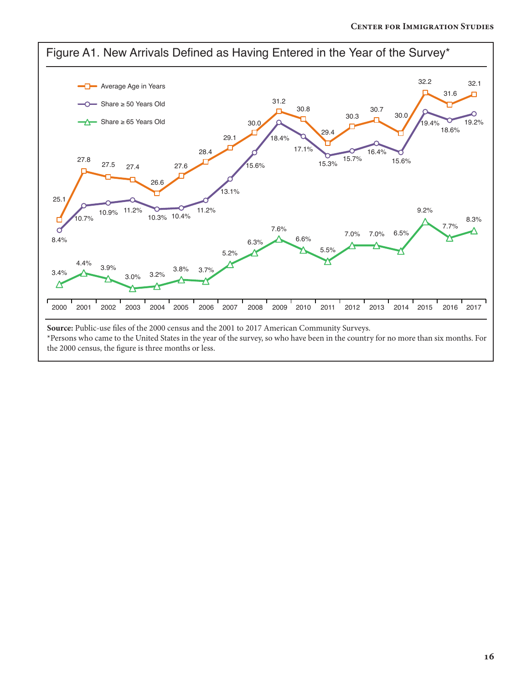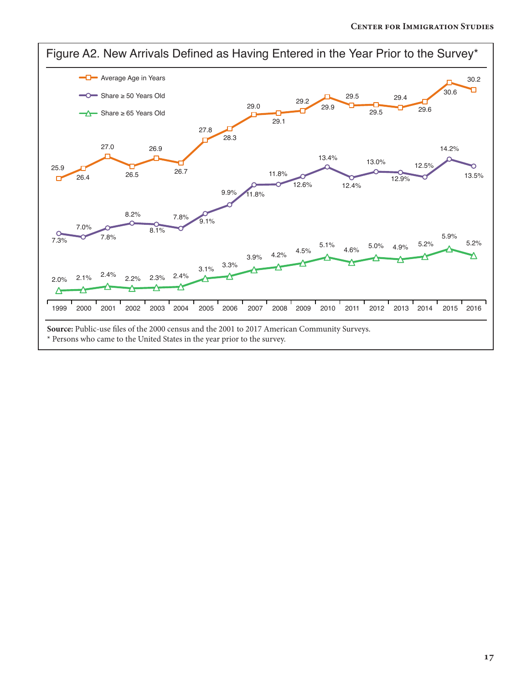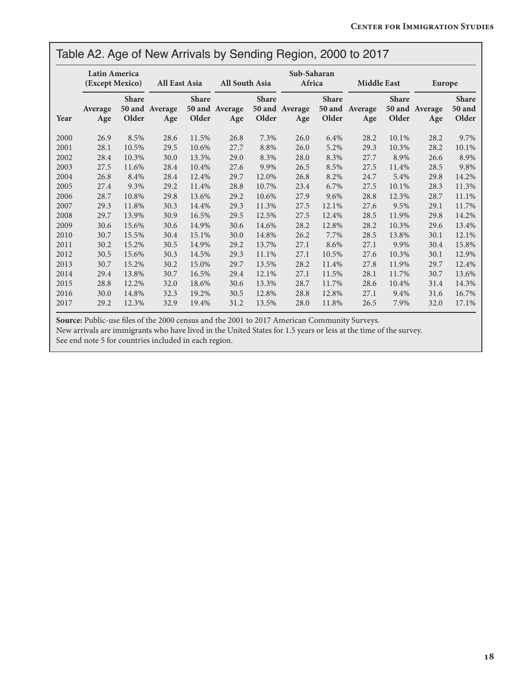#### Table A2. Age of New Arrivals by Sending Region, 2000 to 2017

|      | Latin America<br>(Except Mexico) |                       | All East Asia         |                       | All South Asia        |                       | Sub-Saharan<br>Africa |                       | <b>Middle East</b>    |                       | <b>Europe</b>         |                                        |
|------|----------------------------------|-----------------------|-----------------------|-----------------------|-----------------------|-----------------------|-----------------------|-----------------------|-----------------------|-----------------------|-----------------------|----------------------------------------|
| Year | Average<br>Age                   | <b>Share</b><br>Older | 50 and Average<br>Age | <b>Share</b><br>Older | 50 and Average<br>Age | <b>Share</b><br>Older | 50 and Average<br>Age | <b>Share</b><br>Older | 50 and Average<br>Age | <b>Share</b><br>Older | 50 and Average<br>Age | <b>Share</b><br><b>50 and</b><br>Older |
| 2000 | 26.9                             | 8.5%                  | 28.6                  | 11.5%                 | 26.8                  | 7.3%                  | 26.0                  | 6.4%                  | 28.2                  | 10.1%                 | 28.2                  | 9.7%                                   |
| 2001 | 28.1                             | 10.5%                 | 29.5                  | 10.6%                 | 27.7                  | 8.8%                  | 26.0                  | 5.2%                  | 29.3                  | 10.3%                 | 28.2                  | 10.1%                                  |
| 2002 | 28.4                             | 10.3%                 | 30.0                  | 13.3%                 | 29.0                  | 8.3%                  | 28.0                  | 8.3%                  | 27.7                  | 8.9%                  | 26.6                  | 8.9%                                   |
| 2003 | 27.5                             | 11.6%                 | 28.4                  | 10.4%                 | 27.6                  | 9.9%                  | 26.5                  | 8.5%                  | 27.5                  | 11.4%                 | 28.5                  | 9.8%                                   |
| 2004 | 26.8                             | 8.4%                  | 28.4                  | 12.4%                 | 29.7                  | 12.0%                 | 26.8                  | 8.2%                  | 24.7                  | 5.4%                  | 29.8                  | 14.2%                                  |
| 2005 | 27.4                             | 9.3%                  | 29.2                  | 11.4%                 | 28.8                  | 10.7%                 | 23.4                  | 6.7%                  | 27.5                  | 10.1%                 | 28.3                  | 11.3%                                  |
| 2006 | 28.7                             | 10.8%                 | 29.8                  | 13.6%                 | 29.2                  | 10.6%                 | 27.9                  | 9.6%                  | 28.8                  | 12.3%                 | 28.7                  | 11.1%                                  |
| 2007 | 29.3                             | 11.8%                 | 30.3                  | 14.4%                 | 29.3                  | 11.3%                 | 27.5                  | 12.1%                 | 27.6                  | 9.5%                  | 29.1                  | 11.7%                                  |
| 2008 | 29.7                             | 13.9%                 | 30.9                  | 16.5%                 | 29.5                  | 12.5%                 | 27.5                  | 12.4%                 | 28.5                  | 11.9%                 | 29.8                  | 14.2%                                  |
| 2009 | 30.6                             | 15.6%                 | 30.6                  | 14.9%                 | 30.6                  | 14.6%                 | 28.2                  | 12.8%                 | 28.2                  | 10.3%                 | 29.6                  | 13.4%                                  |
| 2010 | 30.7                             | 15.5%                 | 30.4                  | 15.1%                 | 30.0                  | 14.8%                 | 26.2                  | 7.7%                  | 28.5                  | 13.8%                 | 30.1                  | 12.1%                                  |
| 2011 | 30.2                             | 15.2%                 | 30.5                  | 14.9%                 | 29.2                  | 13.7%                 | 27.1                  | 8.6%                  | 27.1                  | 9.9%                  | 30.4                  | 15.8%                                  |
| 2012 | 30.5                             | 15.6%                 | 30.3                  | 14.5%                 | 29.3                  | 11.1%                 | 27.1                  | 10.5%                 | 27.6                  | 10.3%                 | 30.1                  | 12.9%                                  |
| 2013 | 30.7                             | 15.2%                 | 30.2                  | 15.0%                 | 29.7                  | 13.5%                 | 28.2                  | 11.4%                 | 27.8                  | 11.9%                 | 29.7                  | 12.4%                                  |
| 2014 | 29.4                             | 13.8%                 | 30.7                  | 16.5%                 | 29.4                  | 12.1%                 | 27.1                  | 11.5%                 | 28.1                  | 11.7%                 | 30.7                  | 13.6%                                  |
| 2015 | 28.8                             | 12.2%                 | 32.0                  | 18.6%                 | 30.6                  | 13.3%                 | 28.7                  | 11.7%                 | 28.6                  | 10.4%                 | 31.4                  | 14.3%                                  |
| 2016 | 30.0                             | 14.8%                 | 32.3                  | 19.2%                 | 30.5                  | 12.8%                 | 28.8                  | 12.8%                 | 27.1                  | 9.4%                  | 31.6                  | 16.7%                                  |
| 2017 | 29.2                             | 12.3%                 | 32.9                  | 19.4%                 | 31.2                  | 13.5%                 | 28.0                  | 11.8%                 | 26.5                  | 7.9%                  | 32.0                  | 17.1%                                  |

**Source:** Public-use files of the 2000 census and the 2001 to 2017 American Community Surveys.

New arrivals are immigrants who have lived in the United States for 1.5 years or less at the time of the survey.

See end note 5 for countries included in each region.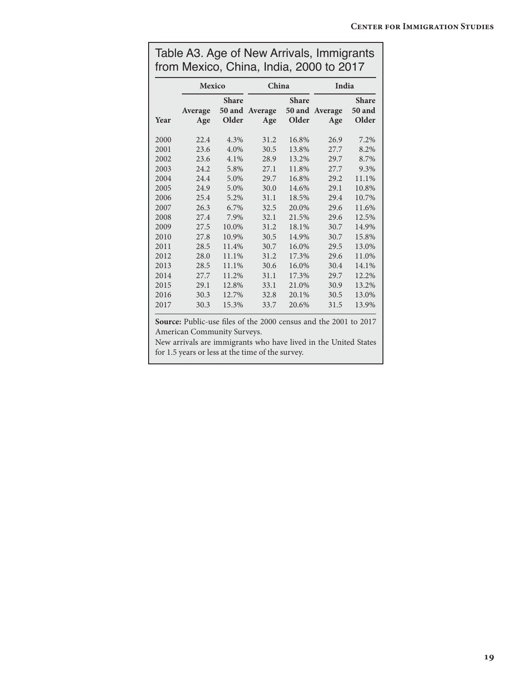|      | <b>Mexico</b>  |                       | China                 |                       | India                 |                                        |  |
|------|----------------|-----------------------|-----------------------|-----------------------|-----------------------|----------------------------------------|--|
| Year | Average<br>Age | <b>Share</b><br>Older | 50 and Average<br>Age | <b>Share</b><br>Older | 50 and Average<br>Age | <b>Share</b><br><b>50 and</b><br>Older |  |
| 2000 | 22.4           | 4.3%                  | 31.2                  | 16.8%                 | 26.9                  | 7.2%                                   |  |
| 2001 | 23.6           | 4.0%                  | 30.5                  | 13.8%                 | 27.7                  | 8.2%                                   |  |
| 2002 | 23.6           | 4.1%                  | 28.9                  | 13.2%                 | 29.7                  | 8.7%                                   |  |
| 2003 | 24.2           | 5.8%                  | 27.1                  | 11.8%                 | 27.7                  | 9.3%                                   |  |
| 2004 | 24.4           | 5.0%                  | 29.7                  | 16.8%                 | 29.2                  | 11.1%                                  |  |
| 2005 | 24.9           | 5.0%                  | 30.0                  | 14.6%                 | 29.1                  | 10.8%                                  |  |
| 2006 | 25.4           | 5.2%                  | 31.1                  | 18.5%                 | 29.4                  | 10.7%                                  |  |
| 2007 | 26.3           | 6.7%                  | 32.5                  | 20.0%                 | 29.6                  | 11.6%                                  |  |
| 2008 | 27.4           | 7.9%                  | 32.1                  | 21.5%                 | 29.6                  | 12.5%                                  |  |
| 2009 | 27.5           | 10.0%                 | 31.2                  | 18.1%                 | 30.7                  | 14.9%                                  |  |
| 2010 | 27.8           | 10.9%                 | 30.5                  | 14.9%                 | 30.7                  | 15.8%                                  |  |
| 2011 | 28.5           | 11.4%                 | 30.7                  | 16.0%                 | 29.5                  | 13.0%                                  |  |
| 2012 | 28.0           | 11.1%                 | 31.2                  | 17.3%                 | 29.6                  | 11.0%                                  |  |
| 2013 | 28.5           | 11.1%                 | 30.6                  | 16.0%                 | 30.4                  | 14.1%                                  |  |
| 2014 | 27.7           | 11.2%                 | 31.1                  | 17.3%                 | 29.7                  | 12.2%                                  |  |
| 2015 | 29.1           | 12.8%                 | 33.1                  | 21.0%                 | 30.9                  | 13.2%                                  |  |
| 2016 | 30.3           | 12.7%                 | 32.8                  | 20.1%                 | 30.5                  | 13.0%                                  |  |
| 2017 | 30.3           | 15.3%                 | 33.7                  | 20.6%                 | 31.5                  | 13.9%                                  |  |

| Table A3. Age of New Arrivals, Immigrants |  |
|-------------------------------------------|--|
| from Mexico, China, India, 2000 to 2017   |  |

**Source:** Public-use files of the 2000 census and the 2001 to 2017 American Community Surveys.

New arrivals are immigrants who have lived in the United States for 1.5 years or less at the time of the survey.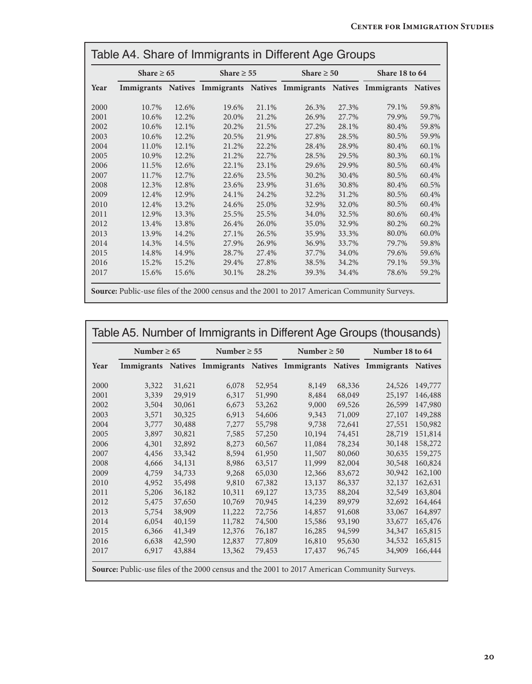|      | Table A4. Share of Immigrants in Different Age Groups |                |                                                  |       |                 |       |                |                |  |
|------|-------------------------------------------------------|----------------|--------------------------------------------------|-------|-----------------|-------|----------------|----------------|--|
|      | Share $\geq 65$                                       |                | Share $\geq 55$                                  |       | Share $\geq 50$ |       | Share 18 to 64 |                |  |
| Year | Immigrants                                            | <b>Natives</b> | Immigrants Natives Immigrants Natives Immigrants |       |                 |       |                | <b>Natives</b> |  |
| 2000 | 10.7%                                                 | 12.6%          | 19.6%                                            | 21.1% | 26.3%           | 27.3% | 79.1%          | 59.8%          |  |
| 2001 | 10.6%                                                 | 12.2%          | 20.0%                                            | 21.2% | 26.9%           | 27.7% | 79.9%          | 59.7%          |  |
| 2002 | 10.6%                                                 | 12.1%          | 20.2%                                            | 21.5% | 27.2%           | 28.1% | 80.4%          | 59.8%          |  |
| 2003 | 10.6%                                                 | 12.2%          | 20.5%                                            | 21.9% | 27.8%           | 28.5% | 80.5%          | 59.9%          |  |
| 2004 | 11.0%                                                 | 12.1%          | 21.2%                                            | 22.2% | 28.4%           | 28.9% | 80.4%          | 60.1%          |  |
| 2005 | 10.9%                                                 | 12.2%          | 21.2%                                            | 22.7% | 28.5%           | 29.5% | 80.3%          | 60.1%          |  |
| 2006 | 11.5%                                                 | 12.6%          | 22.1%                                            | 23.1% | 29.6%           | 29.9% | 80.5%          | 60.4%          |  |
| 2007 | 11.7%                                                 | 12.7%          | 22.6%                                            | 23.5% | 30.2%           | 30.4% | 80.5%          | 60.4%          |  |
| 2008 | 12.3%                                                 | 12.8%          | 23.6%                                            | 23.9% | 31.6%           | 30.8% | 80.4%          | 60.5%          |  |
| 2009 | 12.4%                                                 | 12.9%          | 24.1%                                            | 24.2% | 32.2%           | 31.2% | 80.5%          | 60.4%          |  |
| 2010 | 12.4%                                                 | 13.2%          | 24.6%                                            | 25.0% | 32.9%           | 32.0% | 80.5%          | 60.4%          |  |
| 2011 | 12.9%                                                 | 13.3%          | 25.5%                                            | 25.5% | 34.0%           | 32.5% | 80.6%          | 60.4%          |  |
| 2012 | 13.4%                                                 | 13.8%          | 26.4%                                            | 26.0% | 35.0%           | 32.9% | 80.2%          | 60.2%          |  |
| 2013 | 13.9%                                                 | 14.2%          | 27.1%                                            | 26.5% | 35.9%           | 33.3% | 80.0%          | 60.0%          |  |
| 2014 | 14.3%                                                 | 14.5%          | 27.9%                                            | 26.9% | 36.9%           | 33.7% | 79.7%          | 59.8%          |  |
| 2015 | 14.8%                                                 | 14.9%          | 28.7%                                            | 27.4% | 37.7%           | 34.0% | 79.6%          | 59.6%          |  |
| 2016 | 15.2%                                                 | 15.2%          | 29.4%                                            | 27.8% | 38.5%           | 34.2% | 79.1%          | 59.3%          |  |
| 2017 | 15.6%                                                 | 15.6%          | 30.1%                                            | 28.2% | 39.3%           | 34.4% | 78.6%          | 59.2%          |  |

**Source:** Public-use files of the 2000 census and the 2001 to 2017 American Community Surveys.

| Number $\geq 65$ |       |        | Number $\geq 55$ |        | Number $\geq 50$ |        | Number 18 to 64                                                             |         |  |
|------------------|-------|--------|------------------|--------|------------------|--------|-----------------------------------------------------------------------------|---------|--|
| Year             |       |        |                  |        |                  |        | Immigrants Natives Immigrants Natives Immigrants Natives Immigrants Natives |         |  |
| 2000             | 3,322 | 31,621 | 6,078            | 52,954 | 8,149            | 68,336 | 24,526                                                                      | 149,777 |  |
| 2001             | 3,339 | 29,919 | 6,317            | 51,990 | 8,484            | 68,049 | 25,197                                                                      | 146,488 |  |
| 2002             | 3,504 | 30,061 | 6,673            | 53,262 | 9,000            | 69,526 | 26,599                                                                      | 147,980 |  |
| 2003             | 3,571 | 30,325 | 6,913            | 54,606 | 9,343            | 71,009 | 27,107                                                                      | 149,288 |  |
| 2004             | 3,777 | 30,488 | 7,277            | 55,798 | 9,738            | 72,641 | 27,551                                                                      | 150,982 |  |
| 2005             | 3,897 | 30,821 | 7,585            | 57,250 | 10,194           | 74,451 | 28,719                                                                      | 151,814 |  |
| 2006             | 4,301 | 32,892 | 8,273            | 60,567 | 11,084           | 78,234 | 30,148                                                                      | 158,272 |  |
| 2007             | 4,456 | 33,342 | 8,594            | 61,950 | 11,507           | 80,060 | 30,635                                                                      | 159,275 |  |
| 2008             | 4,666 | 34,131 | 8,986            | 63,517 | 11,999           | 82,004 | 30,548                                                                      | 160,824 |  |
| 2009             | 4,759 | 34,733 | 9,268            | 65,030 | 12,366           | 83,672 | 30,942                                                                      | 162,100 |  |
| 2010             | 4,952 | 35,498 | 9,810            | 67,382 | 13,137           | 86,337 | 32,137                                                                      | 162,631 |  |
| 2011             | 5,206 | 36,182 | 10,311           | 69,127 | 13,735           | 88,204 | 32,549                                                                      | 163,804 |  |
| 2012             | 5,475 | 37,650 | 10,769           | 70,945 | 14,239           | 89,979 | 32,692                                                                      | 164,464 |  |
| 2013             | 5,754 | 38,909 | 11,222           | 72,756 | 14,857           | 91,608 | 33,067                                                                      | 164,897 |  |
| 2014             | 6,054 | 40,159 | 11,782           | 74,500 | 15,586           | 93,190 | 33,677                                                                      | 165,476 |  |
| 2015             | 6,366 | 41,349 | 12,376           | 76,187 | 16,285           | 94,599 | 34,347                                                                      | 165,815 |  |
| 2016             | 6,638 | 42,590 | 12,837           | 77,809 | 16,810           | 95,630 | 34,532                                                                      | 165,815 |  |
| 2017             | 6,917 | 43,884 | 13,362           | 79,453 | 17,437           | 96,745 | 34,909                                                                      | 166,444 |  |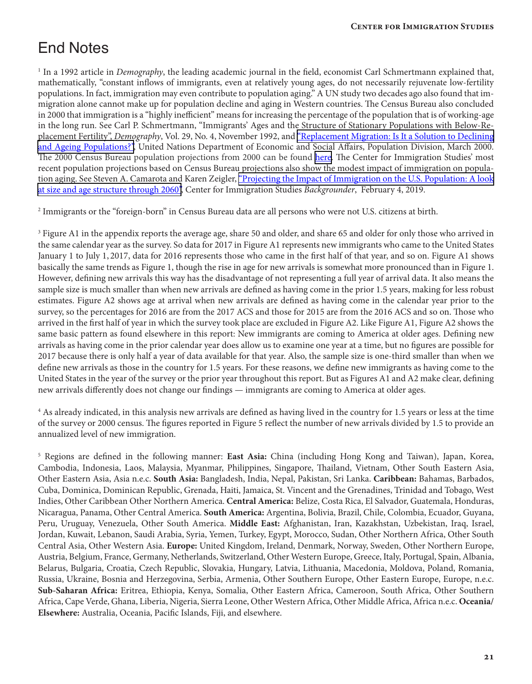# End Notes

<sup>1</sup> In a 1992 article in *Demography*, the leading academic journal in the field, economist Carl Schmertmann explained that, mathematically, "constant inflows of immigrants, even at relatively young ages, do not necessarily rejuvenate low-fertility populations. In fact, immigration may even contribute to population aging." A UN study two decades ago also found that immigration alone cannot make up for population decline and aging in Western countries. The Census Bureau also concluded in 2000 that immigration is a "highly inefficient" means for increasing the percentage of the population that is of working-age in the long run. See Carl P. Schmertmann, "Immigrants' Ages and the Structure of Stationary Populations with Below-Replacement Fertility", *Demography*, Vol. 29, No. 4, November 1992, and ["Replacement](http://www.un.org/en/development/desa/population/publications/ageing/replacement-migration.shtml) Migration: Is It a Solution to Declining [and Ageing Populations?"](http://www.un.org/en/development/desa/population/publications/ageing/replacement-migration.shtml), United Nations Department of Economic and Social Affairs, Population Division, March 2000. The 2000 Census Bureau population projections from 2000 can be found [here](https://www.census.gov/content/dam/Census/library/working-papers/2000/demo/POP-twps0038.pdf). The Center for Immigration Studies' most recent population projections based on Census Bureau projections also show the modest impact of immigration on popula-tion aging. See Steven A. Camarota and Karen Zeigler, ["Projecting the Impact of Immigration on the U.S. Population: A look](https://cis.org/Report/Projecting-Impact-Immigration-US-Population) at size and age [structure](https://cis.org/Report/Projecting-Impact-Immigration-US-Population) through 2060", Center for Immigration Studies *Backgrounder*, February 4, 2019.

 $^2$  Immigrants or the "foreign-born" in Census Bureau data are all persons who were not U.S. citizens at birth.

<sup>3</sup> Figure A1 in the appendix reports the average age, share 50 and older, and share 65 and older for only those who arrived in the same calendar year as the survey. So data for 2017 in Figure A1 represents new immigrants who came to the United States January 1 to July 1, 2017, data for 2016 represents those who came in the first half of that year, and so on. Figure A1 shows basically the same trends as Figure 1, though the rise in age for new arrivals is somewhat more pronounced than in Figure 1. However, defining new arrivals this way has the disadvantage of not representing a full year of arrival data. It also means the sample size is much smaller than when new arrivals are defined as having come in the prior 1.5 years, making for less robust estimates. Figure A2 shows age at arrival when new arrivals are defined as having come in the calendar year prior to the survey, so the percentages for 2016 are from the 2017 ACS and those for 2015 are from the 2016 ACS and so on. Those who arrived in the first half of year in which the survey took place are excluded in Figure A2. Like Figure A1, Figure A2 shows the same basic pattern as found elsewhere in this report: New immigrants are coming to America at older ages. Defining new arrivals as having come in the prior calendar year does allow us to examine one year at a time, but no figures are possible for 2017 because there is only half a year of data available for that year. Also, the sample size is one-third smaller than when we define new arrivals as those in the country for 1.5 years. For these reasons, we define new immigrants as having come to the United States in the year of the survey or the prior year throughout this report. But as Figures A1 and A2 make clear, defining new arrivals differently does not change our findings — immigrants are coming to America at older ages.

<sup>4</sup> As already indicated, in this analysis new arrivals are defined as having lived in the country for 1.5 years or less at the time of the survey or 2000 census. The figures reported in Figure 5 reflect the number of new arrivals divided by 1.5 to provide an annualized level of new immigration.

5 Regions are defined in the following manner: **East Asia:** China (including Hong Kong and Taiwan), Japan, Korea, Cambodia, Indonesia, Laos, Malaysia, Myanmar, Philippines, Singapore, Thailand, Vietnam, Other South Eastern Asia, Other Eastern Asia, Asia n.e.c. **South Asia:** Bangladesh, India, Nepal, Pakistan, Sri Lanka. **Caribbean:** Bahamas, Barbados, Cuba, Dominica, Dominican Republic, Grenada, Haiti, Jamaica, St. Vincent and the Grenadines, Trinidad and Tobago, West Indies, Other Caribbean Other Northern America. **Central America:** Belize, Costa Rica, El Salvador, Guatemala, Honduras, Nicaragua, Panama, Other Central America. **South America:** Argentina, Bolivia, Brazil, Chile, Colombia, Ecuador, Guyana, Peru, Uruguay, Venezuela, Other South America. **Middle East:** Afghanistan, Iran, Kazakhstan, Uzbekistan, Iraq, Israel, Jordan, Kuwait, Lebanon, Saudi Arabia, Syria, Yemen, Turkey, Egypt, Morocco, Sudan, Other Northern Africa, Other South Central Asia, Other Western Asia. **Europe:** United Kingdom, Ireland, Denmark, Norway, Sweden, Other Northern Europe, Austria, Belgium, France, Germany, Netherlands, Switzerland, Other Western Europe, Greece, Italy, Portugal, Spain, Albania, Belarus, Bulgaria, Croatia, Czech Republic, Slovakia, Hungary, Latvia, Lithuania, Macedonia, Moldova, Poland, Romania, Russia, Ukraine, Bosnia and Herzegovina, Serbia, Armenia, Other Southern Europe, Other Eastern Europe, Europe, n.e.c. **Sub-Saharan Africa:** Eritrea, Ethiopia, Kenya, Somalia, Other Eastern Africa, Cameroon, South Africa, Other Southern Africa, Cape Verde, Ghana, Liberia, Nigeria, Sierra Leone, Other Western Africa, Other Middle Africa, Africa n.e.c. **Oceania/ Elsewhere:** Australia, Oceania, Pacific Islands, Fiji, and elsewhere.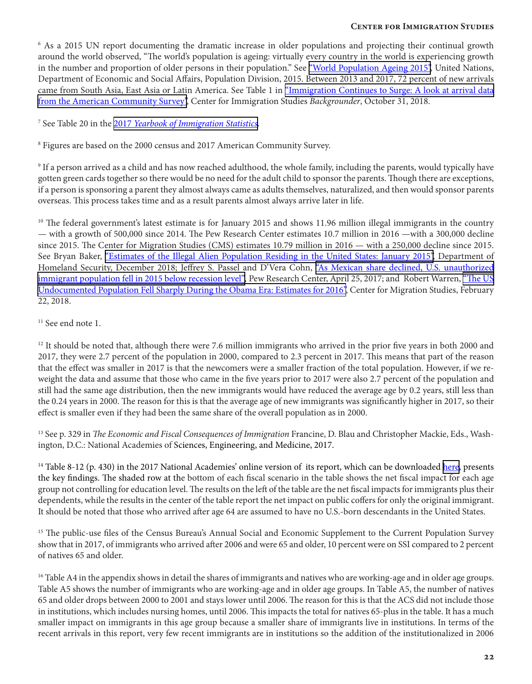<sup>6</sup> As a 2015 UN report documenting the dramatic increase in older populations and projecting their continual growth around the world observed, "The world's population is ageing: virtually every country in the world is experiencing growth in the number and proportion of older persons in their population." See "World [Population](https://www.un.org/en/development/desa/population/publications/pdf/ageing/WPA2015_Report.pdf) Ageing 2015", United Nations, Department of Economic and Social Affairs, Population Division, 2015. Between 2013 and 2017, 72 percent of new arrivals came from South Asia, East Asia or Latin America. See Table 1 in ["Immigration Continues to Surge: A look at arrival data](https://cis.org/Report/Immigration-Continues-Surge) [from the American Community Survey"](https://cis.org/Report/Immigration-Continues-Surge), Center for Immigration Studies *Backgrounder*, October 31, 2018.

<sup>7</sup> See Table 20 in the 2017 *[Yearbook of Immigration Statistics](https://www.dhs.gov/immigration-statistics/yearbook/2017)*.

<sup>8</sup> Figures are based on the 2000 census and 2017 American Community Survey.

9 If a person arrived as a child and has now reached adulthood, the whole family, including the parents, would typically have gotten green cards together so there would be no need for the adult child to sponsor the parents. Though there are exceptions, if a person is sponsoring a parent they almost always came as adults themselves, naturalized, and then would sponsor parents overseas. This process takes time and as a result parents almost always arrive later in life.

<sup>10</sup> The federal government's latest estimate is for January 2015 and shows 11.96 million illegal immigrants in the country — with a growth of 500,000 since 2014. The Pew Research Center estimates 10.7 million in 2016 —with a 300,000 decline since 2015. The Center for Migration Studies (CMS) estimates 10.79 million in 2016 — with a 250,000 decline since 2015. See Bryan Baker, "Estimates of the Illegal Alien [Population](https://www.dhs.gov/immigration-statistics/population-estimates/unauthorized-resident) Residing in the United States: January 2015", Department of Homeland Security, December 2018; Jeffrey S. Passel and D'Vera Cohn, "As Mexican share declined, U.S. [unauthorized](http://www.pewresearch.org/fact-tank/2017/04/25/as-mexican-share-declined-u-s-unauthorized-immigrant-population-fell-in-2015-below-recession-level/) immigrant [population](http://www.pewresearch.org/fact-tank/2017/04/25/as-mexican-share-declined-u-s-unauthorized-immigrant-population-fell-in-2015-below-recession-level/) fell in 2015 below recession level", Pew Research Center, April 25, 2017; and Robert Warren, "The US [Undocumented](https://cmsny.org/publications/warren-undocumented-2016/) Population Fell Sharply During the Obama Era: Estimates for 2016", Center for Migration Studies, February 22, 2018.

<sup>11</sup> See end note 1.

 $12$  It should be noted that, although there were 7.6 million immigrants who arrived in the prior five years in both 2000 and 2017, they were 2.7 percent of the population in 2000, compared to 2.3 percent in 2017. This means that part of the reason that the effect was smaller in 2017 is that the newcomers were a smaller fraction of the total population. However, if we reweight the data and assume that those who came in the five years prior to 2017 were also 2.7 percent of the population and still had the same age distribution, then the new immigrants would have reduced the average age by 0.2 years, still less than the 0.24 years in 2000. The reason for this is that the average age of new immigrants was significantly higher in 2017, so their effect is smaller even if they had been the same share of the overall population as in 2000.

<sup>13</sup> See p. 329 in *The Economic and Fiscal Consequences of Immigration Francine*, D. Blau and Christopher Mackie, Eds., Washington, D.C.: National Academies of Sciences, Engineering, and Medicine, 2017.

<sup>14</sup> Table 8-12 (p. 430) in the 2017 National Academies' online version of its report, which can be downloaded [here,](https://www.nap.edu/download/23550) presents the key findings. The shaded row at the bottom of each fiscal scenario in the table shows the net fiscal impact for each age group not controlling for education level. The results on the left of the table are the net fiscal impacts for immigrants plus their dependents, while the results in the center of the table report the net impact on public coffers for only the original immigrant. It should be noted that those who arrived after age 64 are assumed to have no U.S.-born descendants in the United States.

<sup>15</sup> The public-use files of the Census Bureau's Annual Social and Economic Supplement to the Current Population Survey show that in 2017, of immigrants who arrived after 2006 and were 65 and older, 10 percent were on SSI compared to 2 percent of natives 65 and older.

<sup>16</sup> Table A4 in the appendix shows in detail the shares of immigrants and natives who are working-age and in older age groups. Table A5 shows the number of immigrants who are working-age and in older age groups. In Table A5, the number of natives 65 and older drops between 2000 to 2001 and stays lower until 2006. The reason for this is that the ACS did not include those in institutions, which includes nursing homes, until 2006. This impacts the total for natives 65-plus in the table. It has a much smaller impact on immigrants in this age group because a smaller share of immigrants live in institutions. In terms of the recent arrivals in this report, very few recent immigrants are in institutions so the addition of the institutionalized in 2006